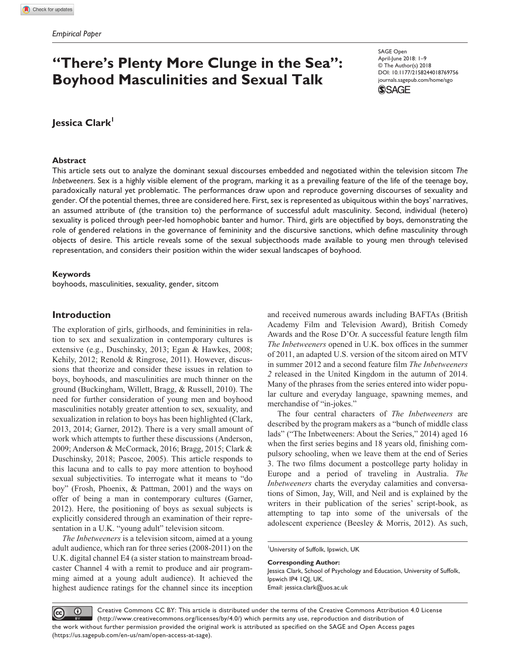# **"There's Plenty More Clunge in the Sea": Boyhood Masculinities and Sexual Talk**

**Jessica Clark** 

### **Abstract**

https://doi.org/10.1177/2158244018769756 DOI: 10.1177/2158244018769756 SAGE Open April-June 2018: 1–9 © The Author(s) 2018 [journals.sagepub.com/home/sgo](https://journals.sagepub.com/home/sgo)



This article sets out to analyze the dominant sexual discourses embedded and negotiated within the television sitcom *The Inbetweeners*. Sex is a highly visible element of the program, marking it as a prevailing feature of the life of the teenage boy, paradoxically natural yet problematic. The performances draw upon and reproduce governing discourses of sexuality and gender. Of the potential themes, three are considered here. First, sex is represented as ubiquitous within the boys' narratives, an assumed attribute of (the transition to) the performance of successful adult masculinity. Second, individual (hetero) sexuality is policed through peer-led homophobic banter and humor. Third, girls are objectified by boys, demonstrating the role of gendered relations in the governance of femininity and the discursive sanctions, which define masculinity through objects of desire. This article reveals some of the sexual subjecthoods made available to young men through televised representation, and considers their position within the wider sexual landscapes of boyhood.

### **Keywords**

boyhoods, masculinities, sexuality, gender, sitcom

## **Introduction**

The exploration of girls, girlhoods, and femininities in relation to sex and sexualization in contemporary cultures is extensive (e.g., Duschinsky, 2013; Egan & Hawkes, 2008; Kehily, 2012; Renold & Ringrose, 2011). However, discussions that theorize and consider these issues in relation to boys, boyhoods, and masculinities are much thinner on the ground (Buckingham, Willett, Bragg, & Russell, 2010). The need for further consideration of young men and boyhood masculinities notably greater attention to sex, sexuality, and sexualization in relation to boys has been highlighted (Clark, 2013, 2014; Garner, 2012). There is a very small amount of work which attempts to further these discussions (Anderson, 2009; Anderson & McCormack, 2016; Bragg, 2015; Clark & Duschinsky, 2018; Pascoe, 2005). This article responds to this lacuna and to calls to pay more attention to boyhood sexual subjectivities. To interrogate what it means to "do boy" (Frosh, Phoenix, & Pattman, 2001) and the ways on offer of being a man in contemporary cultures (Garner, 2012). Here, the positioning of boys as sexual subjects is explicitly considered through an examination of their representation in a U.K. "young adult" television sitcom.

*The Inbetweeners* is a television sitcom, aimed at a young adult audience, which ran for three series (2008-2011) on the U.K. digital channel E4 (a sister station to mainstream broadcaster Channel 4 with a remit to produce and air programming aimed at a young adult audience). It achieved the highest audience ratings for the channel since its inception

and received numerous awards including BAFTAs (British Academy Film and Television Award), British Comedy Awards and the Rose D'Or. A successful feature length film *The Inbetweeners* opened in U.K. box offices in the summer of 2011, an adapted U.S. version of the sitcom aired on MTV in summer 2012 and a second feature film *The Inbetweeners 2* released in the United Kingdom in the autumn of 2014. Many of the phrases from the series entered into wider popular culture and everyday language, spawning memes, and merchandise of "in-jokes."

The four central characters of *The Inbetweeners* are described by the program makers as a "bunch of middle class lads" ("The Inbetweeners: About the Series," 2014) aged 16 when the first series begins and 18 years old, finishing compulsory schooling, when we leave them at the end of Series 3. The two films document a postcollege party holiday in Europe and a period of traveling in Australia. *The Inbetweeners* charts the everyday calamities and conversations of Simon, Jay, Will, and Neil and is explained by the writers in their publication of the series' script-book, as attempting to tap into some of the universals of the adolescent experience (Beesley & Morris, 2012). As such,

University of Suffolk, Ipswich, UK

**Corresponding Author:** Jessica Clark, School of Psychology and Education, University of Suffolk, Ipswich IP4 1QJ, UK. Email: jessica.clark@uos.ac.uk

Creative Commons CC BY: This article is distributed under the terms of the Creative Commons Attribution 4.0 License  $\odot$  $(cc)$ (http://www.creativecommons.org/licenses/by/4.0/) which permits any use, reproduction and distribution of the work without further permission provided the original work is attributed as specified on the SAGE and Open Access pages (https://us.sagepub.com/en-us/nam/open-access-at-sage).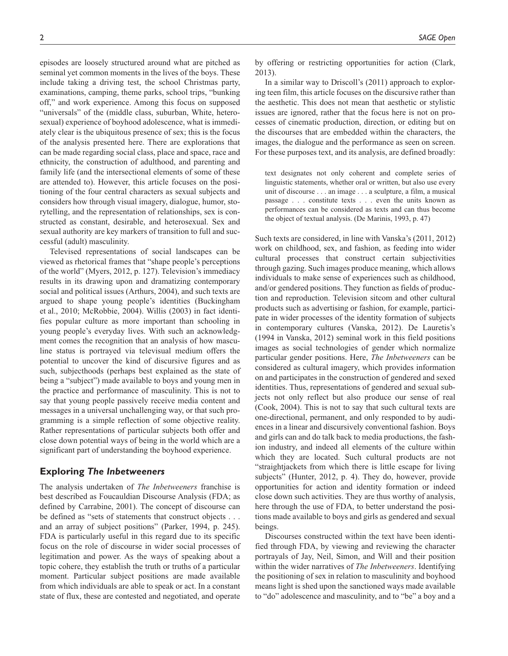episodes are loosely structured around what are pitched as seminal yet common moments in the lives of the boys. These include taking a driving test, the school Christmas party, examinations, camping, theme parks, school trips, "bunking off," and work experience. Among this focus on supposed "universals" of the (middle class, suburban, White, heterosexual) experience of boyhood adolescence, what is immediately clear is the ubiquitous presence of sex; this is the focus of the analysis presented here. There are explorations that can be made regarding social class, place and space, race and ethnicity, the construction of adulthood, and parenting and family life (and the intersectional elements of some of these are attended to). However, this article focuses on the positioning of the four central characters as sexual subjects and considers how through visual imagery, dialogue, humor, storytelling, and the representation of relationships, sex is constructed as constant, desirable, and heterosexual. Sex and sexual authority are key markers of transition to full and successful (adult) masculinity.

Televised representations of social landscapes can be viewed as rhetorical frames that "shape people's perceptions of the world" (Myers, 2012, p. 127). Television's immediacy results in its drawing upon and dramatizing contemporary social and political issues (Arthurs, 2004), and such texts are argued to shape young people's identities (Buckingham et al., 2010; McRobbie, 2004). Willis (2003) in fact identifies popular culture as more important than schooling in young people's everyday lives. With such an acknowledgment comes the recognition that an analysis of how masculine status is portrayed via televisual medium offers the potential to uncover the kind of discursive figures and as such, subjecthoods (perhaps best explained as the state of being a "subject") made available to boys and young men in the practice and performance of masculinity. This is not to say that young people passively receive media content and messages in a universal unchallenging way, or that such programming is a simple reflection of some objective reality. Rather representations of particular subjects both offer and close down potential ways of being in the world which are a significant part of understanding the boyhood experience.

## **Exploring** *The Inbetweeners*

The analysis undertaken of *The Inbetweeners* franchise is best described as Foucauldian Discourse Analysis (FDA; as defined by Carrabine, 2001). The concept of discourse can be defined as "sets of statements that construct objects . . . and an array of subject positions" (Parker, 1994, p. 245). FDA is particularly useful in this regard due to its specific focus on the role of discourse in wider social processes of legitimation and power. As the ways of speaking about a topic cohere, they establish the truth or truths of a particular moment. Particular subject positions are made available from which individuals are able to speak or act. In a constant state of flux, these are contested and negotiated, and operate

by offering or restricting opportunities for action (Clark, 2013).

In a similar way to Driscoll's (2011) approach to exploring teen film, this article focuses on the discursive rather than the aesthetic. This does not mean that aesthetic or stylistic issues are ignored, rather that the focus here is not on processes of cinematic production, direction, or editing but on the discourses that are embedded within the characters, the images, the dialogue and the performance as seen on screen. For these purposes text, and its analysis, are defined broadly:

text designates not only coherent and complete series of linguistic statements, whether oral or written, but also use every unit of discourse . . . an image . . . a sculpture, a film, a musical passage . . . constitute texts . . . even the units known as performances can be considered as texts and can thus become the object of textual analysis. (De Marinis, 1993, p. 47)

Such texts are considered, in line with Vanska's (2011, 2012) work on childhood, sex, and fashion, as feeding into wider cultural processes that construct certain subjectivities through gazing. Such images produce meaning, which allows individuals to make sense of experiences such as childhood, and/or gendered positions. They function as fields of production and reproduction. Television sitcom and other cultural products such as advertising or fashion, for example, participate in wider processes of the identity formation of subjects in contemporary cultures (Vanska, 2012). De Lauretis's (1994 in Vanska, 2012) seminal work in this field positions images as social technologies of gender which normalize particular gender positions. Here, *The Inbetweeners* can be considered as cultural imagery, which provides information on and participates in the construction of gendered and sexed identities. Thus, representations of gendered and sexual subjects not only reflect but also produce our sense of real (Cook, 2004). This is not to say that such cultural texts are one-directional, permanent, and only responded to by audiences in a linear and discursively conventional fashion. Boys and girls can and do talk back to media productions, the fashion industry, and indeed all elements of the culture within which they are located. Such cultural products are not "straightjackets from which there is little escape for living subjects" (Hunter, 2012, p. 4). They do, however, provide opportunities for action and identity formation or indeed close down such activities. They are thus worthy of analysis, here through the use of FDA, to better understand the positions made available to boys and girls as gendered and sexual beings.

Discourses constructed within the text have been identified through FDA, by viewing and reviewing the character portrayals of Jay, Neil, Simon, and Will and their position within the wider narratives of *The Inbetweeners*. Identifying the positioning of sex in relation to masculinity and boyhood means light is shed upon the sanctioned ways made available to "do" adolescence and masculinity, and to "be" a boy and a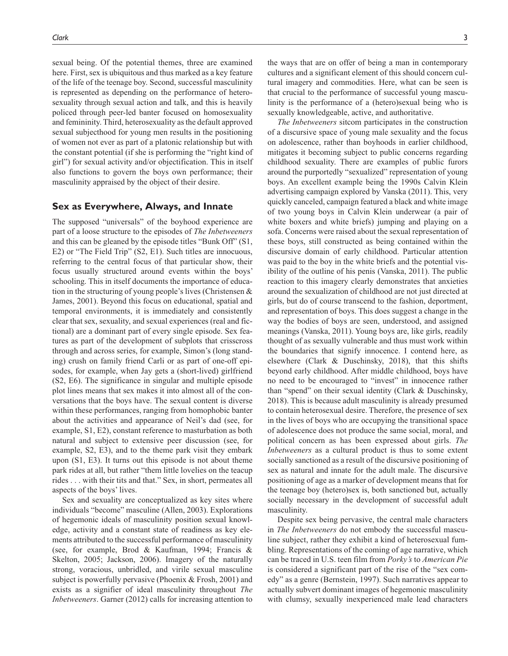sexual being. Of the potential themes, three are examined here. First, sex is ubiquitous and thus marked as a key feature of the life of the teenage boy. Second, successful masculinity is represented as depending on the performance of heterosexuality through sexual action and talk, and this is heavily policed through peer-led banter focused on homosexuality and femininity. Third, heterosexuality as the default approved sexual subjecthood for young men results in the positioning of women not ever as part of a platonic relationship but with the constant potential (if she is performing the "right kind of girl") for sexual activity and/or objectification. This in itself also functions to govern the boys own performance; their masculinity appraised by the object of their desire.

### **Sex as Everywhere, Always, and Innate**

The supposed "universals" of the boyhood experience are part of a loose structure to the episodes of *The Inbetweeners* and this can be gleaned by the episode titles "Bunk Off" (S1, E2) or "The Field Trip" (S2, E1). Such titles are innocuous, referring to the central focus of that particular show, their focus usually structured around events within the boys' schooling. This in itself documents the importance of education in the structuring of young people's lives (Christensen & James, 2001). Beyond this focus on educational, spatial and temporal environments, it is immediately and consistently clear that sex, sexuality, and sexual experiences (real and fictional) are a dominant part of every single episode. Sex features as part of the development of subplots that crisscross through and across series, for example, Simon's (long standing) crush on family friend Carli or as part of one-off episodes, for example, when Jay gets a (short-lived) girlfriend (S2, E6). The significance in singular and multiple episode plot lines means that sex makes it into almost all of the conversations that the boys have. The sexual content is diverse within these performances, ranging from homophobic banter about the activities and appearance of Neil's dad (see, for example, S1, E2), constant reference to masturbation as both natural and subject to extensive peer discussion (see, for example, S2, E3), and to the theme park visit they embark upon (S1, E3). It turns out this episode is not about theme park rides at all, but rather "them little lovelies on the teacup rides . . . with their tits and that." Sex, in short, permeates all aspects of the boys' lives.

Sex and sexuality are conceptualized as key sites where individuals "become" masculine (Allen, 2003). Explorations of hegemonic ideals of masculinity position sexual knowledge, activity and a constant state of readiness as key elements attributed to the successful performance of masculinity (see, for example, Brod & Kaufman, 1994; Francis & Skelton, 2005; Jackson, 2006). Imagery of the naturally strong, voracious, unbridled, and virile sexual masculine subject is powerfully pervasive (Phoenix & Frosh, 2001) and exists as a signifier of ideal masculinity throughout *The Inbetweeners*. Garner (2012) calls for increasing attention to

the ways that are on offer of being a man in contemporary cultures and a significant element of this should concern cultural imagery and commodities. Here, what can be seen is that crucial to the performance of successful young masculinity is the performance of a (hetero)sexual being who is sexually knowledgeable, active, and authoritative.

*The Inbetweeners* sitcom participates in the construction of a discursive space of young male sexuality and the focus on adolescence, rather than boyhoods in earlier childhood, mitigates it becoming subject to public concerns regarding childhood sexuality. There are examples of public furors around the purportedly "sexualized" representation of young boys. An excellent example being the 1990s Calvin Klein advertising campaign explored by Vanska (2011). This, very quickly canceled, campaign featured a black and white image of two young boys in Calvin Klein underwear (a pair of white boxers and white briefs) jumping and playing on a sofa. Concerns were raised about the sexual representation of these boys, still constructed as being contained within the discursive domain of early childhood. Particular attention was paid to the boy in the white briefs and the potential visibility of the outline of his penis (Vanska, 2011). The public reaction to this imagery clearly demonstrates that anxieties around the sexualization of childhood are not just directed at girls, but do of course transcend to the fashion, deportment, and representation of boys. This does suggest a change in the way the bodies of boys are seen, understood, and assigned meanings (Vanska, 2011). Young boys are, like girls, readily thought of as sexually vulnerable and thus must work within the boundaries that signify innocence. I contend here, as elsewhere (Clark & Duschinsky, 2018), that this shifts beyond early childhood. After middle childhood, boys have no need to be encouraged to "invest" in innocence rather than "spend" on their sexual identity (Clark & Duschinsky, 2018). This is because adult masculinity is already presumed to contain heterosexual desire. Therefore, the presence of sex in the lives of boys who are occupying the transitional space of adolescence does not produce the same social, moral, and political concern as has been expressed about girls. *The Inbetweeners* as a cultural product is thus to some extent socially sanctioned as a result of the discursive positioning of sex as natural and innate for the adult male. The discursive positioning of age as a marker of development means that for the teenage boy (hetero)sex is, both sanctioned but, actually socially necessary in the development of successful adult masculinity.

Despite sex being pervasive, the central male characters in *The Inbetweeners* do not embody the successful masculine subject, rather they exhibit a kind of heterosexual fumbling. Representations of the coming of age narrative, which can be traced in U.S. teen film from *Porky's* to *American Pie* is considered a significant part of the rise of the "sex comedy" as a genre (Bernstein, 1997). Such narratives appear to actually subvert dominant images of hegemonic masculinity with clumsy, sexually inexperienced male lead characters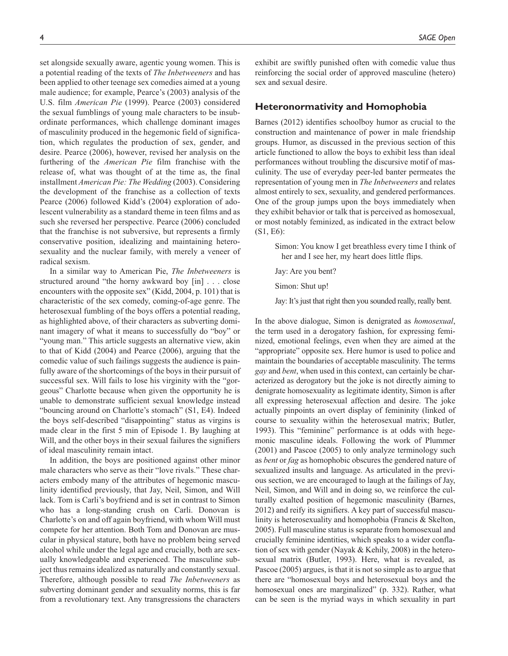set alongside sexually aware, agentic young women. This is a potential reading of the texts of *The Inbetweeners* and has been applied to other teenage sex comedies aimed at a young male audience; for example, Pearce's (2003) analysis of the U.S. film *American Pie* (1999). Pearce (2003) considered the sexual fumblings of young male characters to be insubordinate performances, which challenge dominant images of masculinity produced in the hegemonic field of signification, which regulates the production of sex, gender, and desire. Pearce (2006), however, revised her analysis on the furthering of the *American Pie* film franchise with the release of, what was thought of at the time as, the final installment *American Pie: The Wedding* (2003). Considering the development of the franchise as a collection of texts Pearce (2006) followed Kidd's (2004) exploration of adolescent vulnerability as a standard theme in teen films and as such she reversed her perspective. Pearce (2006) concluded that the franchise is not subversive, but represents a firmly conservative position, idealizing and maintaining heterosexuality and the nuclear family, with merely a veneer of radical sexism.

In a similar way to American Pie, *The Inbetweeners* is structured around "the horny awkward boy [in] . . . close encounters with the opposite sex" (Kidd, 2004, p. 101) that is characteristic of the sex comedy, coming-of-age genre. The heterosexual fumbling of the boys offers a potential reading, as highlighted above, of their characters as subverting dominant imagery of what it means to successfully do "boy" or "young man." This article suggests an alternative view, akin to that of Kidd (2004) and Pearce (2006), arguing that the comedic value of such failings suggests the audience is painfully aware of the shortcomings of the boys in their pursuit of successful sex. Will fails to lose his virginity with the "gorgeous" Charlotte because when given the opportunity he is unable to demonstrate sufficient sexual knowledge instead "bouncing around on Charlotte's stomach" (S1, E4). Indeed the boys self-described "disappointing" status as virgins is made clear in the first 5 min of Episode 1. By laughing at Will, and the other boys in their sexual failures the signifiers of ideal masculinity remain intact.

In addition, the boys are positioned against other minor male characters who serve as their "love rivals." These characters embody many of the attributes of hegemonic masculinity identified previously, that Jay, Neil, Simon, and Will lack. Tom is Carli's boyfriend and is set in contrast to Simon who has a long-standing crush on Carli. Donovan is Charlotte's on and off again boyfriend, with whom Will must compete for her attention. Both Tom and Donovan are muscular in physical stature, both have no problem being served alcohol while under the legal age and crucially, both are sexually knowledgeable and experienced. The masculine subject thus remains idealized as naturally and constantly sexual. Therefore, although possible to read *The Inbetweeners* as subverting dominant gender and sexuality norms, this is far from a revolutionary text. Any transgressions the characters exhibit are swiftly punished often with comedic value thus reinforcing the social order of approved masculine (hetero) sex and sexual desire.

### **Heteronormativity and Homophobia**

Barnes (2012) identifies schoolboy humor as crucial to the construction and maintenance of power in male friendship groups. Humor, as discussed in the previous section of this article functioned to allow the boys to exhibit less than ideal performances without troubling the discursive motif of masculinity. The use of everyday peer-led banter permeates the representation of young men in *The Inbetweeners* and relates almost entirely to sex, sexuality, and gendered performances. One of the group jumps upon the boys immediately when they exhibit behavior or talk that is perceived as homosexual, or most notably feminized, as indicated in the extract below (S1, E6):

Simon: You know I get breathless every time I think of her and I see her, my heart does little flips.

Jay: Are you bent?

Simon: Shut up!

Jay: It's just that right then you sounded really, really bent.

In the above dialogue, Simon is denigrated as *homosexual*, the term used in a derogatory fashion, for expressing feminized, emotional feelings, even when they are aimed at the "appropriate" opposite sex. Here humor is used to police and maintain the boundaries of acceptable masculinity. The terms *gay* and *bent*, when used in this context, can certainly be characterized as derogatory but the joke is not directly aiming to denigrate homosexuality as legitimate identity, Simon is after all expressing heterosexual affection and desire. The joke actually pinpoints an overt display of femininity (linked of course to sexuality within the heterosexual matrix; Butler, 1993). This "feminine" performance is at odds with hegemonic masculine ideals. Following the work of Plummer (2001) and Pascoe (2005) to only analyze terminology such as *bent* or *fag* as homophobic obscures the gendered nature of sexualized insults and language. As articulated in the previous section, we are encouraged to laugh at the failings of Jay, Neil, Simon, and Will and in doing so, we reinforce the culturally exalted position of hegemonic masculinity (Barnes, 2012) and reify its signifiers. A key part of successful masculinity is heterosexuality and homophobia (Francis & Skelton, 2005). Full masculine status is separate from homosexual and crucially feminine identities, which speaks to a wider conflation of sex with gender (Nayak & Kehily, 2008) in the heterosexual matrix (Butler, 1993). Here, what is revealed, as Pascoe (2005) argues, is that it is not so simple as to argue that there are "homosexual boys and heterosexual boys and the homosexual ones are marginalized" (p. 332). Rather, what can be seen is the myriad ways in which sexuality in part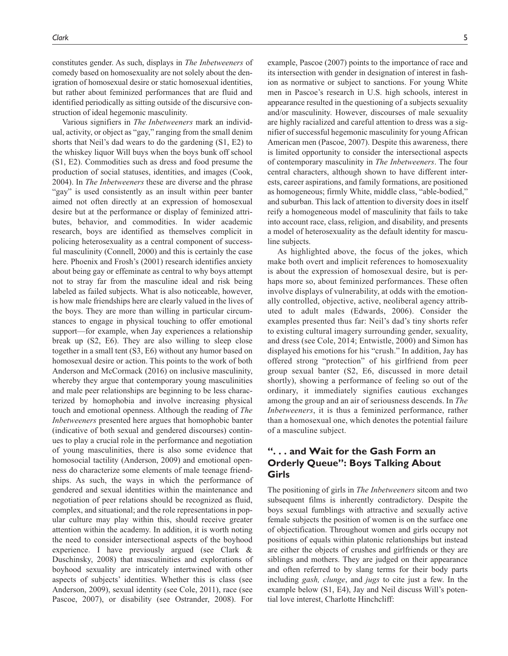constitutes gender. As such, displays in *The Inbetweeners* of comedy based on homosexuality are not solely about the denigration of homosexual desire or static homosexual identities, but rather about feminized performances that are fluid and identified periodically as sitting outside of the discursive construction of ideal hegemonic masculinity.

Various signifiers in *The Inbetweeners* mark an individual, activity, or object as "gay," ranging from the small denim shorts that Neil's dad wears to do the gardening (S1, E2) to the whiskey liquor Will buys when the boys bunk off school (S1, E2). Commodities such as dress and food presume the production of social statuses, identities, and images (Cook, 2004). In *The Inbetweeners* these are diverse and the phrase "gay" is used consistently as an insult within peer banter aimed not often directly at an expression of homosexual desire but at the performance or display of feminized attributes, behavior, and commodities. In wider academic research, boys are identified as themselves complicit in policing heterosexuality as a central component of successful masculinity (Connell, 2000) and this is certainly the case here. Phoenix and Frosh's (2001) research identifies anxiety about being gay or effeminate as central to why boys attempt not to stray far from the masculine ideal and risk being labeled as failed subjects. What is also noticeable, however, is how male friendships here are clearly valued in the lives of the boys. They are more than willing in particular circumstances to engage in physical touching to offer emotional support—for example, when Jay experiences a relationship break up (S2, E6). They are also willing to sleep close together in a small tent (S3, E6) without any humor based on homosexual desire or action. This points to the work of both Anderson and McCormack (2016) on inclusive masculinity, whereby they argue that contemporary young masculinities and male peer relationships are beginning to be less characterized by homophobia and involve increasing physical touch and emotional openness. Although the reading of *The Inbetweeners* presented here argues that homophobic banter (indicative of both sexual and gendered discourses) continues to play a crucial role in the performance and negotiation of young masculinities, there is also some evidence that homosocial tactility (Anderson, 2009) and emotional openness do characterize some elements of male teenage friendships. As such, the ways in which the performance of gendered and sexual identities within the maintenance and negotiation of peer relations should be recognized as fluid, complex, and situational; and the role representations in popular culture may play within this, should receive greater attention within the academy. In addition, it is worth noting the need to consider intersectional aspects of the boyhood experience. I have previously argued (see Clark & Duschinsky, 2008) that masculinities and explorations of boyhood sexuality are intricately intertwined with other aspects of subjects' identities. Whether this is class (see Anderson, 2009), sexual identity (see Cole, 2011), race (see Pascoe, 2007), or disability (see Ostrander, 2008). For

example, Pascoe (2007) points to the importance of race and its intersection with gender in designation of interest in fashion as normative or subject to sanctions. For young White men in Pascoe's research in U.S. high schools, interest in appearance resulted in the questioning of a subjects sexuality and/or masculinity. However, discourses of male sexuality are highly racialized and careful attention to dress was a signifier of successful hegemonic masculinity for young African American men (Pascoe, 2007). Despite this awareness, there is limited opportunity to consider the intersectional aspects of contemporary masculinity in *The Inbetweeners*. The four central characters, although shown to have different interests, career aspirations, and family formations, are positioned as homogeneous; firmly White, middle class, "able-bodied," and suburban. This lack of attention to diversity does in itself reify a homogeneous model of masculinity that fails to take into account race, class, religion, and disability, and presents a model of heterosexuality as the default identity for masculine subjects.

As highlighted above, the focus of the jokes, which make both overt and implicit references to homosexuality is about the expression of homosexual desire, but is perhaps more so, about feminized performances. These often involve displays of vulnerability, at odds with the emotionally controlled, objective, active, neoliberal agency attributed to adult males (Edwards, 2006). Consider the examples presented thus far: Neil's dad's tiny shorts refer to existing cultural imagery surrounding gender, sexuality, and dress (see Cole, 2014; Entwistle, 2000) and Simon has displayed his emotions for his "crush." In addition, Jay has offered strong "protection" of his girlfriend from peer group sexual banter (S2, E6, discussed in more detail shortly), showing a performance of feeling so out of the ordinary, it immediately signifies cautious exchanges among the group and an air of seriousness descends. In *The Inbetweeners*, it is thus a feminized performance, rather than a homosexual one, which denotes the potential failure of a masculine subject.

# **". . . and Wait for the Gash Form an Orderly Queue": Boys Talking About Girls**

The positioning of girls in *The Inbetweeners* sitcom and two subsequent films is inherently contradictory. Despite the boys sexual fumblings with attractive and sexually active female subjects the position of women is on the surface one of objectification. Throughout women and girls occupy not positions of equals within platonic relationships but instead are either the objects of crushes and girlfriends or they are siblings and mothers. They are judged on their appearance and often referred to by slang terms for their body parts including *gash, clunge*, and *jugs* to cite just a few. In the example below (S1, E4), Jay and Neil discuss Will's potential love interest, Charlotte Hinchcliff: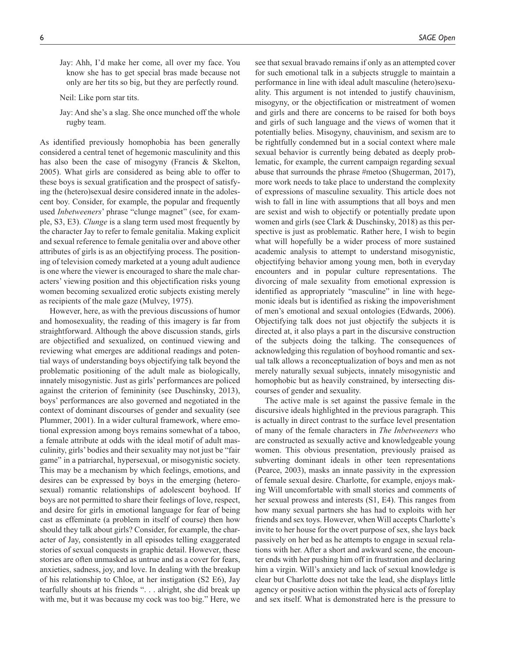Jay: Ahh, I'd make her come, all over my face. You know she has to get special bras made because not only are her tits so big, but they are perfectly round.

Neil: Like porn star tits.

Jay: And she's a slag. She once munched off the whole rugby team.

As identified previously homophobia has been generally considered a central tenet of hegemonic masculinity and this has also been the case of misogyny (Francis & Skelton, 2005). What girls are considered as being able to offer to these boys is sexual gratification and the prospect of satisfying the (hetero)sexual desire considered innate in the adolescent boy. Consider, for example, the popular and frequently used *Inbetweeners*' phrase "clunge magnet" (see, for example, S3, E3). *Clunge* is a slang term used most frequently by the character Jay to refer to female genitalia. Making explicit and sexual reference to female genitalia over and above other attributes of girls is as an objectifying process. The positioning of television comedy marketed at a young adult audience is one where the viewer is encouraged to share the male characters' viewing position and this objectification risks young women becoming sexualized erotic subjects existing merely as recipients of the male gaze (Mulvey, 1975).

However, here, as with the previous discussions of humor and homosexuality, the reading of this imagery is far from straightforward. Although the above discussion stands, girls are objectified and sexualized, on continued viewing and reviewing what emerges are additional readings and potential ways of understanding boys objectifying talk beyond the problematic positioning of the adult male as biologically, innately misogynistic. Just as girls' performances are policed against the criterion of femininity (see Duschinsky, 2013), boys' performances are also governed and negotiated in the context of dominant discourses of gender and sexuality (see Plummer, 2001). In a wider cultural framework, where emotional expression among boys remains somewhat of a taboo, a female attribute at odds with the ideal motif of adult masculinity, girls' bodies and their sexuality may not just be "fair game" in a patriarchal, hypersexual, or misogynistic society. This may be a mechanism by which feelings, emotions, and desires can be expressed by boys in the emerging (heterosexual) romantic relationships of adolescent boyhood. If boys are not permitted to share their feelings of love, respect, and desire for girls in emotional language for fear of being cast as effeminate (a problem in itself of course) then how should they talk about girls? Consider, for example, the character of Jay, consistently in all episodes telling exaggerated stories of sexual conquests in graphic detail. However, these stories are often unmasked as untrue and as a cover for fears, anxieties, sadness, joy, and love. In dealing with the breakup of his relationship to Chloe, at her instigation (S2 E6), Jay tearfully shouts at his friends ". . . alright, she did break up with me, but it was because my cock was too big." Here, we

see that sexual bravado remains if only as an attempted cover for such emotional talk in a subjects struggle to maintain a performance in line with ideal adult masculine (hetero)sexuality. This argument is not intended to justify chauvinism, misogyny, or the objectification or mistreatment of women and girls and there are concerns to be raised for both boys and girls of such language and the views of women that it potentially belies. Misogyny, chauvinism, and sexism are to be rightfully condemned but in a social context where male sexual behavior is currently being debated as deeply problematic, for example, the current campaign regarding sexual abuse that surrounds the phrase #metoo (Shugerman, 2017), more work needs to take place to understand the complexity of expressions of masculine sexuality. This article does not wish to fall in line with assumptions that all boys and men are sexist and wish to objectify or potentially predate upon women and girls (see Clark & Duschinsky, 2018) as this perspective is just as problematic. Rather here, I wish to begin what will hopefully be a wider process of more sustained academic analysis to attempt to understand misogynistic, objectifying behavior among young men, both in everyday encounters and in popular culture representations. The divorcing of male sexuality from emotional expression is identified as appropriately "masculine" in line with hegemonic ideals but is identified as risking the impoverishment of men's emotional and sexual ontologies (Edwards, 2006). Objectifying talk does not just objectify the subjects it is directed at, it also plays a part in the discursive construction of the subjects doing the talking. The consequences of acknowledging this regulation of boyhood romantic and sexual talk allows a reconceptualization of boys and men as not merely naturally sexual subjects, innately misogynistic and homophobic but as heavily constrained, by intersecting discourses of gender and sexuality.

The active male is set against the passive female in the discursive ideals highlighted in the previous paragraph. This is actually in direct contrast to the surface level presentation of many of the female characters in *The Inbetweeners* who are constructed as sexually active and knowledgeable young women. This obvious presentation, previously praised as subverting dominant ideals in other teen representations (Pearce, 2003), masks an innate passivity in the expression of female sexual desire. Charlotte, for example, enjoys making Will uncomfortable with small stories and comments of her sexual prowess and interests (S1, E4). This ranges from how many sexual partners she has had to exploits with her friends and sex toys. However, when Will accepts Charlotte's invite to her house for the overt purpose of sex, she lays back passively on her bed as he attempts to engage in sexual relations with her. After a short and awkward scene, the encounter ends with her pushing him off in frustration and declaring him a virgin. Will's anxiety and lack of sexual knowledge is clear but Charlotte does not take the lead, she displays little agency or positive action within the physical acts of foreplay and sex itself. What is demonstrated here is the pressure to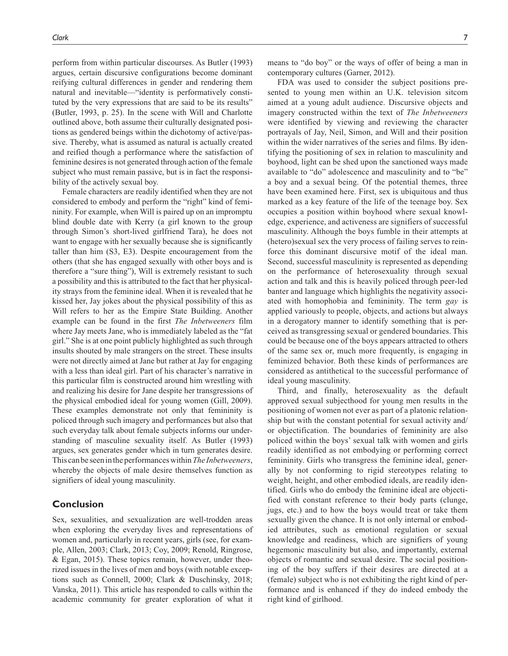perform from within particular discourses. As Butler (1993) argues, certain discursive configurations become dominant reifying cultural differences in gender and rendering them natural and inevitable—"identity is performatively constituted by the very expressions that are said to be its results" (Butler, 1993, p. 25). In the scene with Will and Charlotte outlined above, both assume their culturally designated positions as gendered beings within the dichotomy of active/passive. Thereby, what is assumed as natural is actually created and reified though a performance where the satisfaction of feminine desires is not generated through action of the female subject who must remain passive, but is in fact the responsibility of the actively sexual boy.

Female characters are readily identified when they are not considered to embody and perform the "right" kind of femininity. For example, when Will is paired up on an impromptu blind double date with Kerry (a girl known to the group through Simon's short-lived girlfriend Tara), he does not want to engage with her sexually because she is significantly taller than him (S3, E3). Despite encouragement from the others (that she has engaged sexually with other boys and is therefore a "sure thing"), Will is extremely resistant to such a possibility and this is attributed to the fact that her physicality strays from the feminine ideal. When it is revealed that he kissed her, Jay jokes about the physical possibility of this as Will refers to her as the Empire State Building. Another example can be found in the first *The Inbetweeners* film where Jay meets Jane, who is immediately labeled as the "fat girl." She is at one point publicly highlighted as such through insults shouted by male strangers on the street. These insults were not directly aimed at Jane but rather at Jay for engaging with a less than ideal girl. Part of his character's narrative in this particular film is constructed around him wrestling with and realizing his desire for Jane despite her transgressions of the physical embodied ideal for young women (Gill, 2009). These examples demonstrate not only that femininity is policed through such imagery and performances but also that such everyday talk about female subjects informs our understanding of masculine sexuality itself. As Butler (1993) argues, sex generates gender which in turn generates desire. This can be seen in the performances within *The Inbetweeners*, whereby the objects of male desire themselves function as signifiers of ideal young masculinity.

# **Conclusion**

Sex, sexualities, and sexualization are well-trodden areas when exploring the everyday lives and representations of women and, particularly in recent years, girls (see, for example, Allen, 2003; Clark, 2013; Coy, 2009; Renold, Ringrose, & Egan, 2015). These topics remain, however, under theorized issues in the lives of men and boys (with notable exceptions such as Connell, 2000; Clark & Duschinsky, 2018; Vanska, 2011). This article has responded to calls within the academic community for greater exploration of what it

means to "do boy" or the ways of offer of being a man in contemporary cultures (Garner, 2012).

FDA was used to consider the subject positions presented to young men within an U.K. television sitcom aimed at a young adult audience. Discursive objects and imagery constructed within the text of *The Inbetweeners* were identified by viewing and reviewing the character portrayals of Jay, Neil, Simon, and Will and their position within the wider narratives of the series and films. By identifying the positioning of sex in relation to masculinity and boyhood, light can be shed upon the sanctioned ways made available to "do" adolescence and masculinity and to "be" a boy and a sexual being. Of the potential themes, three have been examined here. First, sex is ubiquitous and thus marked as a key feature of the life of the teenage boy. Sex occupies a position within boyhood where sexual knowledge, experience, and activeness are signifiers of successful masculinity. Although the boys fumble in their attempts at (hetero)sexual sex the very process of failing serves to reinforce this dominant discursive motif of the ideal man. Second, successful masculinity is represented as depending on the performance of heterosexuality through sexual action and talk and this is heavily policed through peer-led banter and language which highlights the negativity associated with homophobia and femininity. The term *gay* is applied variously to people, objects, and actions but always in a derogatory manner to identify something that is perceived as transgressing sexual or gendered boundaries. This could be because one of the boys appears attracted to others of the same sex or, much more frequently, is engaging in feminized behavior. Both these kinds of performances are considered as antithetical to the successful performance of ideal young masculinity.

Third, and finally, heterosexuality as the default approved sexual subjecthood for young men results in the positioning of women not ever as part of a platonic relationship but with the constant potential for sexual activity and/ or objectification. The boundaries of femininity are also policed within the boys' sexual talk with women and girls readily identified as not embodying or performing correct femininity. Girls who transgress the feminine ideal, generally by not conforming to rigid stereotypes relating to weight, height, and other embodied ideals, are readily identified. Girls who do embody the feminine ideal are objectified with constant reference to their body parts (clunge, jugs, etc.) and to how the boys would treat or take them sexually given the chance. It is not only internal or embodied attributes, such as emotional regulation or sexual knowledge and readiness, which are signifiers of young hegemonic masculinity but also, and importantly, external objects of romantic and sexual desire. The social positioning of the boy suffers if their desires are directed at a (female) subject who is not exhibiting the right kind of performance and is enhanced if they do indeed embody the right kind of girlhood.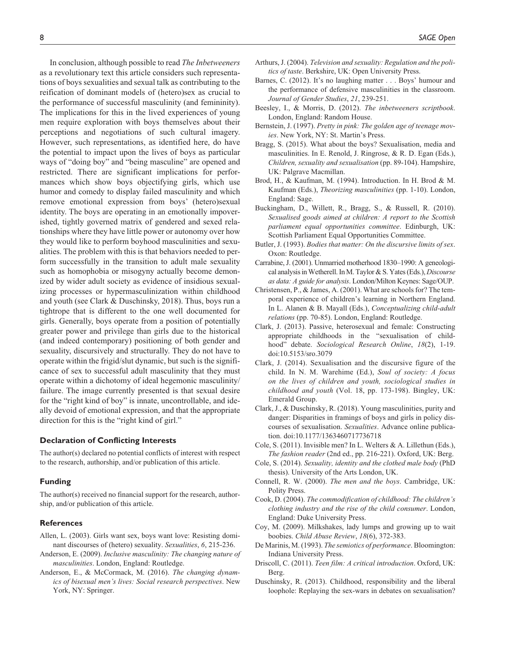In conclusion, although possible to read *The Inbetweeners* as a revolutionary text this article considers such representations of boys sexualities and sexual talk as contributing to the reification of dominant models of (hetero)sex as crucial to the performance of successful masculinity (and femininity). The implications for this in the lived experiences of young men require exploration with boys themselves about their perceptions and negotiations of such cultural imagery. However, such representations, as identified here, do have the potential to impact upon the lives of boys as particular ways of "doing boy" and "being masculine" are opened and restricted. There are significant implications for performances which show boys objectifying girls, which use humor and comedy to display failed masculinity and which remove emotional expression from boys' (hetero)sexual identity. The boys are operating in an emotionally impoverished, tightly governed matrix of gendered and sexed relationships where they have little power or autonomy over how they would like to perform boyhood masculinities and sexualities. The problem with this is that behaviors needed to perform successfully in the transition to adult male sexuality such as homophobia or misogyny actually become demonized by wider adult society as evidence of insidious sexualizing processes or hypermasculinization within childhood and youth (see Clark & Duschinsky, 2018). Thus, boys run a tightrope that is different to the one well documented for girls. Generally, boys operate from a position of potentially greater power and privilege than girls due to the historical (and indeed contemporary) positioning of both gender and sexuality, discursively and structurally. They do not have to operate within the frigid/slut dynamic, but such is the significance of sex to successful adult masculinity that they must operate within a dichotomy of ideal hegemonic masculinity/ failure. The image currently presented is that sexual desire for the "right kind of boy" is innate, uncontrollable, and ideally devoid of emotional expression, and that the appropriate direction for this is the "right kind of girl."

### **Declaration of Conflicting Interests**

The author(s) declared no potential conflicts of interest with respect to the research, authorship, and/or publication of this article.

### **Funding**

The author(s) received no financial support for the research, authorship, and/or publication of this article.

#### **References**

- Allen, L. (2003). Girls want sex, boys want love: Resisting dominant discourses of (hetero) sexuality. *Sexualities*, *6*, 215-236.
- Anderson, E. (2009). *Inclusive masculinity: The changing nature of masculinities*. London, England: Routledge.
- Anderson, E., & McCormack, M. (2016). *The changing dynamics of bisexual men's lives: Social research perspectives*. New York, NY: Springer.
- Arthurs, J. (2004). *Television and sexuality: Regulation and the politics of taste*. Berkshire, UK: Open University Press.
- Barnes, C. (2012). It's no laughing matter . . . Boys' humour and the performance of defensive masculinities in the classroom. *Journal of Gender Studies*, *21*, 239-251.
- Beesley, I., & Morris, D. (2012). *The inbetweeners scriptbook*. London, England: Random House.
- Bernstein, J. (1997). *Pretty in pink: The golden age of teenage movies*. New York, NY: St. Martin's Press.
- Bragg, S. (2015). What about the boys? Sexualisation, media and masculinities. In E. Renold, J. Ringrose, & R. D. Egan (Eds.), *Children, sexuality and sexualisation* (pp. 89-104). Hampshire, UK: Palgrave Macmillan.
- Brod, H., & Kaufman, M. (1994). Introduction. In H. Brod & M. Kaufman (Eds.), *Theorizing masculinities* (pp. 1-10). London, England: Sage.
- Buckingham, D., Willett, R., Bragg, S., & Russell, R. (2010). *Sexualised goods aimed at children: A report to the Scottish parliament equal opportunities committee*. Edinburgh, UK: Scottish Parliament Equal Opportunities Committee.
- Butler, J. (1993). *Bodies that matter: On the discursive limits of sex*. Oxon: Routledge.
- Carrabine, J. (2001). Unmarried motherhood 1830–1990: A geneological analysis in Wetherell. In M. Taylor & S. Yates (Eds.), *Discourse as data: A guide for analysis*. London/Milton Keynes: Sage/OUP.
- Christensen, P., & James, A. (2001). What are schools for? The temporal experience of children's learning in Northern England. In L. Alanen & B. Mayall (Eds.), *Conceptualizing child-adult relations* (pp. 70-85). London, England: Routledge.
- Clark, J. (2013). Passive, heterosexual and female: Constructing appropriate childhoods in the "sexualisation of childhood" debate. *Sociological Research Online*, *18*(2), 1-19. doi:10.5153/sro.3079
- Clark, J. (2014). Sexualisation and the discursive figure of the child. In N. M. Warehime (Ed.), *Soul of society: A focus on the lives of children and youth, sociological studies in childhood and youth* (Vol. 18, pp. 173-198). Bingley, UK: Emerald Group.
- Clark, J., & Duschinsky, R. (2018). Young masculinities, purity and danger: Disparities in framings of boys and girls in policy discourses of sexualisation. *Sexualities*. Advance online publication. doi:10.1177/1363460717736718
- Cole, S. (2011). Invisible men? In L. Welters & A. Lillethun (Eds.), *The fashion reader* (2nd ed., pp. 216-221). Oxford, UK: Berg.
- Cole, S. (2014). *Sexuality, identity and the clothed male body* (PhD thesis). University of the Arts London, UK.
- Connell, R. W. (2000). *The men and the boys*. Cambridge, UK: Polity Press.
- Cook, D. (2004). *The commodification of childhood: The children's clothing industry and the rise of the child consumer*. London, England: Duke University Press.
- Coy, M. (2009). Milkshakes, lady lumps and growing up to wait boobies. *Child Abuse Review*, *18*(6), 372-383.
- De Marinis, M. (1993). *The semiotics of performance*. Bloomington: Indiana University Press.
- Driscoll, C. (2011). *Teen film: A critical introduction*. Oxford, UK: Berg.
- Duschinsky, R. (2013). Childhood, responsibility and the liberal loophole: Replaying the sex-wars in debates on sexualisation?